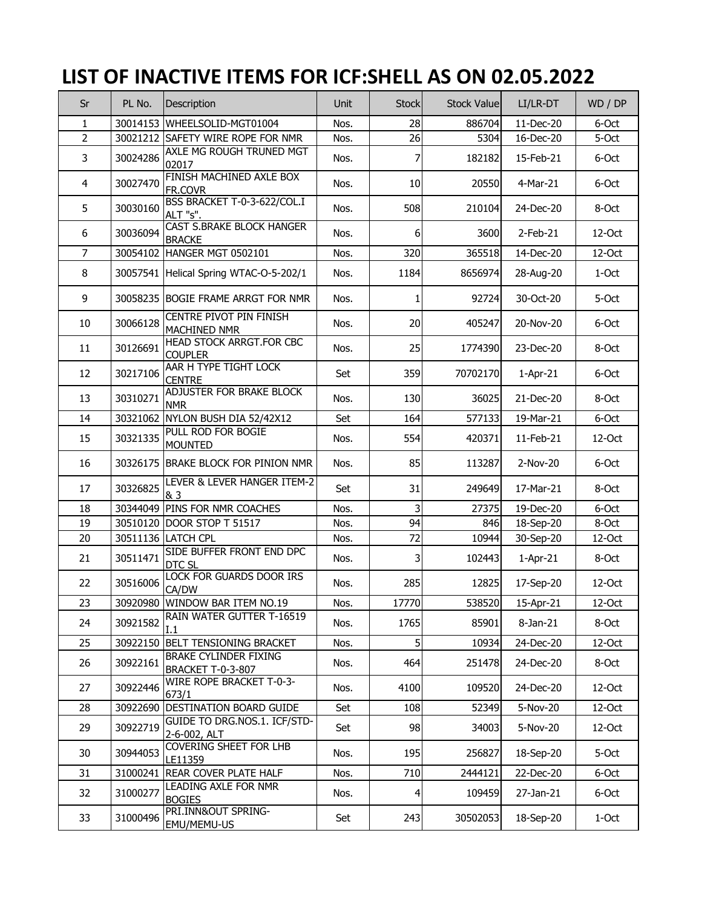## **LIST OF INACTIVE ITEMS FOR ICF:SHELL AS ON 02.05.2022**

| Sr             | PL No.   | Description                                              | Unit | <b>Stock</b>   | <b>Stock Value</b> | LI/LR-DT    | WD / DP |
|----------------|----------|----------------------------------------------------------|------|----------------|--------------------|-------------|---------|
| $\mathbf{1}$   | 30014153 | WHEELSOLID-MGT01004                                      | Nos. | 28             | 886704             | 11-Dec-20   | 6-Oct   |
| $\overline{2}$ |          | 30021212 SAFETY WIRE ROPE FOR NMR                        | Nos. | 26             | 5304               | 16-Dec-20   | 5-Oct   |
| 3              | 30024286 | AXLE MG ROUGH TRUNED MGT<br>02017                        | Nos. | 7              | 182182             | 15-Feb-21   | 6-Oct   |
| 4              | 30027470 | FINISH MACHINED AXLE BOX<br>FR.COVR                      | Nos. | 10             | 20550              | 4-Mar-21    | 6-Oct   |
| 5              | 30030160 | BSS BRACKET T-0-3-622/COL.I<br>ALT "s".                  | Nos. | 508            | 210104             | 24-Dec-20   | 8-Oct   |
| 6              | 30036094 | CAST S.BRAKE BLOCK HANGER<br><b>BRACKE</b>               | Nos. | 6              | 3600               | $2$ -Feb-21 | 12-Oct  |
| 7              | 30054102 | HANGER MGT 0502101                                       | Nos. | 320            | 365518             | 14-Dec-20   | 12-Oct  |
| 8              |          | 30057541 Helical Spring WTAC-O-5-202/1                   | Nos. | 1184           | 8656974            | 28-Aug-20   | 1-Oct   |
| 9              |          | 30058235 BOGIE FRAME ARRGT FOR NMR                       | Nos. | $\mathbf{1}$   | 92724              | 30-Oct-20   | 5-Oct   |
| 10             | 30066128 | <b>CENTRE PIVOT PIN FINISH</b><br>MACHINED NMR           | Nos. | 20             | 405247             | 20-Nov-20   | 6-Oct   |
| 11             | 30126691 | <b>HEAD STOCK ARRGT.FOR CBC</b><br><b>COUPLER</b>        | Nos. | 25             | 1774390            | 23-Dec-20   | 8-Oct   |
| 12             | 30217106 | AAR H TYPE TIGHT LOCK<br><b>CENTRE</b>                   | Set  | 359            | 70702170           | $1-Apr-21$  | 6-Oct   |
| 13             | 30310271 | <b>ADJUSTER FOR BRAKE BLOCK</b><br><b>NMR</b>            | Nos. | 130            | 36025              | 21-Dec-20   | 8-Oct   |
| 14             | 30321062 | NYLON BUSH DIA 52/42X12                                  | Set  | 164            | 577133             | 19-Mar-21   | 6-Oct   |
| 15             | 30321335 | PULL ROD FOR BOGIE<br><b>MOUNTED</b>                     | Nos. | 554            | 420371             | 11-Feb-21   | 12-Oct  |
| 16             |          | 30326175 BRAKE BLOCK FOR PINION NMR                      | Nos. | 85             | 113287             | 2-Nov-20    | 6-Oct   |
| 17             | 30326825 | LEVER & LEVER HANGER ITEM-2<br>& 3                       | Set  | 31             | 249649             | 17-Mar-21   | 8-Oct   |
| 18             | 30344049 | PINS FOR NMR COACHES                                     | Nos. | $\overline{3}$ | 27375              | 19-Dec-20   | 6-Oct   |
| 19             |          | 30510120 DOOR STOP T 51517                               | Nos. | 94             | 846                | 18-Sep-20   | 8-Oct   |
| 20             |          | 30511136 LATCH CPL                                       | Nos. | 72             | 10944              | 30-Sep-20   | 12-Oct  |
| 21             | 30511471 | SIDE BUFFER FRONT END DPC<br>DTC SL                      | Nos. | $\overline{3}$ | 102443             | $1-Apr-21$  | 8-Oct   |
| 22             | 30516006 | <b>LOCK FOR GUARDS DOOR IRS</b><br>CA/DW                 | Nos. | 285            | 12825              | 17-Sep-20   | 12-Oct  |
| 23             |          | 30920980 WINDOW BAR ITEM NO.19                           | Nos. | 17770          | 538520             | 15-Apr-21   | 12-Oct  |
| 24             | 30921582 | RAIN WATER GUTTER T-16519<br>I.1                         | Nos. | 1765           | 85901              | 8-Jan-21    | 8-Oct   |
| 25             | 30922150 | <b>BELT TENSIONING BRACKET</b>                           | Nos. | 5 <sub>l</sub> | 10934              | 24-Dec-20   | 12-Oct  |
| 26             | 30922161 | <b>BRAKE CYLINDER FIXING</b><br><b>BRACKET T-0-3-807</b> | Nos. | 464            | 251478             | 24-Dec-20   | 8-Oct   |
| 27             | 30922446 | WIRE ROPE BRACKET T-0-3-<br>673/1                        | Nos. | 4100           | 109520             | 24-Dec-20   | 12-Oct  |
| 28             | 30922690 | DESTINATION BOARD GUIDE                                  | Set  | 108            | 52349              | 5-Nov-20    | 12-Oct  |
| 29             | 30922719 | GUIDE TO DRG.NOS.1. ICF/STD-<br>2-6-002, ALT             | Set  | 98             | 34003              | 5-Nov-20    | 12-Oct  |
| 30             | 30944053 | COVERING SHEET FOR LHB<br>LE11359                        | Nos. | 195            | 256827             | 18-Sep-20   | 5-Oct   |
| 31             | 31000241 | <b>REAR COVER PLATE HALF</b>                             | Nos. | 710            | 2444121            | 22-Dec-20   | 6-Oct   |
| 32             | 31000277 | LEADING AXLE FOR NMR<br><b>BOGIES</b>                    | Nos. | $\overline{4}$ | 109459             | 27-Jan-21   | 6-Oct   |
| 33             | 31000496 | PRI.INN&OUT SPRING-<br>EMU/MEMU-US                       | Set  | 243            | 30502053           | 18-Sep-20   | 1-Oct   |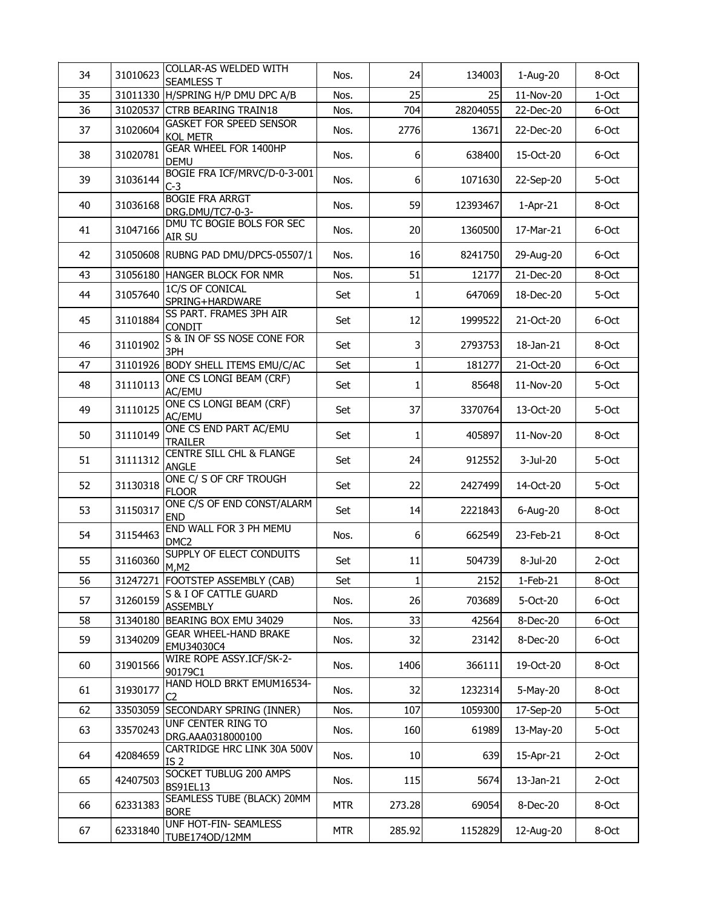| 34 | 31010623 | COLLAR-AS WELDED WITH<br><b>SEAMLESS T</b>          | Nos.       | 24           | 134003   | 1-Aug-20   | 8-Oct    |
|----|----------|-----------------------------------------------------|------------|--------------|----------|------------|----------|
| 35 | 31011330 | H/SPRING H/P DMU DPC A/B                            | Nos.       | 25           | 25       | 11-Nov-20  | $1-Oct$  |
| 36 |          | 31020537 CTRB BEARING TRAIN18                       | Nos.       | 704          | 28204055 | 22-Dec-20  | 6-Oct    |
| 37 | 31020604 | <b>GASKET FOR SPEED SENSOR</b><br><b>KOL METR</b>   | Nos.       | 2776         | 13671    | 22-Dec-20  | 6-Oct    |
| 38 | 31020781 | <b>GEAR WHEEL FOR 1400HP</b><br><b>DEMU</b>         | Nos.       | 6            | 638400   | 15-Oct-20  | 6-Oct    |
| 39 | 31036144 | BOGIE FRA ICF/MRVC/D-0-3-001<br>$C-3$               | Nos.       | 6            | 1071630  | 22-Sep-20  | 5-Oct    |
| 40 | 31036168 | <b>BOGIE FRA ARRGT</b><br>DRG.DMU/TC7-0-3-          | Nos.       | 59           | 12393467 | $1-Apr-21$ | 8-Oct    |
| 41 | 31047166 | DMU TC BOGIE BOLS FOR SEC<br>AIR SU                 | Nos.       | 20           | 1360500  | 17-Mar-21  | 6-Oct    |
| 42 |          | 31050608 RUBNG PAD DMU/DPC5-05507/1                 | Nos.       | 16           | 8241750  | 29-Aug-20  | 6-Oct    |
| 43 |          | 31056180 HANGER BLOCK FOR NMR                       | Nos.       | 51           | 12177    | 21-Dec-20  | 8-Oct    |
| 44 | 31057640 | 1C/S OF CONICAL<br>SPRING+HARDWARE                  | Set        | $\mathbf{1}$ | 647069   | 18-Dec-20  | 5-Oct    |
| 45 | 31101884 | SS PART. FRAMES 3PH AIR<br><b>CONDIT</b>            | Set        | 12           | 1999522  | 21-Oct-20  | 6-Oct    |
| 46 | 31101902 | S & IN OF SS NOSE CONE FOR<br>3PH                   | Set        | 3            | 2793753  | 18-Jan-21  | 8-Oct    |
| 47 |          | 31101926 BODY SHELL ITEMS EMU/C/AC                  | Set        | $\mathbf 1$  | 181277   | 21-Oct-20  | 6-Oct    |
| 48 | 31110113 | ONE CS LONGI BEAM (CRF)<br>AC/EMU                   | Set        | 1            | 85648    | 11-Nov-20  | 5-Oct    |
| 49 | 31110125 | ONE CS LONGI BEAM (CRF)<br>AC/EMU                   | Set        | 37           | 3370764  | 13-Oct-20  | 5-Oct    |
| 50 | 31110149 | ONE CS END PART AC/EMU<br><b>TRAILER</b>            | Set        | $\mathbf{1}$ | 405897   | 11-Nov-20  | 8-Oct    |
| 51 | 31111312 | <b>CENTRE SILL CHL &amp; FLANGE</b><br><b>ANGLE</b> | Set        | 24           | 912552   | 3-Jul-20   | 5-Oct    |
| 52 | 31130318 | ONE C/ S OF CRF TROUGH<br><b>FLOOR</b>              | Set        | 22           | 2427499  | 14-Oct-20  | 5-Oct    |
| 53 | 31150317 | ONE C/S OF END CONST/ALARM<br><b>END</b>            | Set        | 14           | 2221843  | 6-Aug-20   | 8-Oct    |
| 54 | 31154463 | END WALL FOR 3 PH MEMU<br>DMC <sub>2</sub>          | Nos.       | 6            | 662549   | 23-Feb-21  | 8-Oct    |
| 55 | 31160360 | SUPPLY OF ELECT CONDUITS<br>M, M2                   | Set        | 11           | 504739   | 8-Jul-20   | $2$ -Oct |
| 56 |          | 31247271 FOOTSTEP ASSEMBLY (CAB)                    | Set        | $\mathbf{1}$ | 2152     | $1-Feb-21$ | 8-Oct    |
| 57 | 31260159 | S & I OF CATTLE GUARD<br><b>ASSEMBLY</b>            | Nos.       | 26           | 703689   | 5-Oct-20   | 6-Oct    |
| 58 | 31340180 | BEARING BOX EMU 34029                               | Nos.       | 33           | 42564    | 8-Dec-20   | 6-Oct    |
| 59 | 31340209 | <b>GEAR WHEEL-HAND BRAKE</b><br>EMU34030C4          | Nos.       | 32           | 23142    | 8-Dec-20   | 6-Oct    |
| 60 | 31901566 | WIRE ROPE ASSY.ICF/SK-2-<br>90179C1                 | Nos.       | 1406         | 366111   | 19-Oct-20  | 8-Oct    |
| 61 | 31930177 | HAND HOLD BRKT EMUM16534-<br>C <sub>2</sub>         | Nos.       | 32           | 1232314  | 5-May-20   | 8-Oct    |
| 62 | 33503059 | SECONDARY SPRING (INNER)                            | Nos.       | 107          | 1059300  | 17-Sep-20  | 5-Oct    |
| 63 | 33570243 | UNF CENTER RING TO<br>DRG.AAA0318000100             | Nos.       | 160          | 61989    | 13-May-20  | 5-Oct    |
| 64 | 42084659 | CARTRIDGE HRC LINK 30A 500V<br>IS <sub>2</sub>      | Nos.       | 10           | 639      | 15-Apr-21  | $2-Oct$  |
| 65 | 42407503 | SOCKET TUBLUG 200 AMPS<br><b>BS91EL13</b>           | Nos.       | 115          | 5674     | 13-Jan-21  | $2$ -Oct |
| 66 | 62331383 | SEAMLESS TUBE (BLACK) 20MM<br><b>BORE</b>           | <b>MTR</b> | 273.28       | 69054    | 8-Dec-20   | 8-Oct    |
| 67 | 62331840 | UNF HOT-FIN- SEAMLESS<br>TUBE1740D/12MM             | <b>MTR</b> | 285.92       | 1152829  | 12-Aug-20  | 8-Oct    |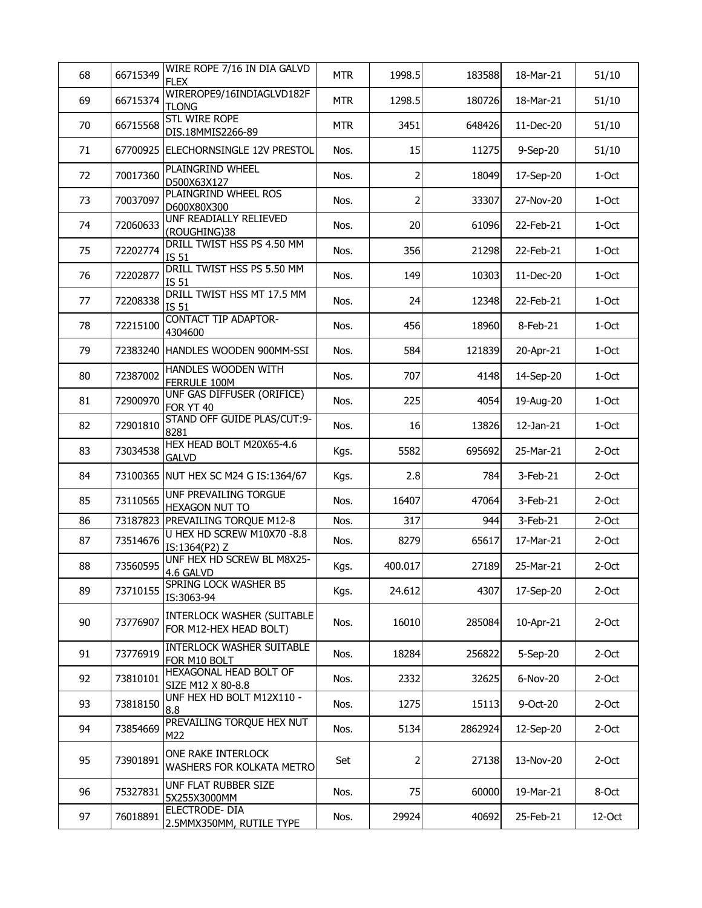| 68 | 66715349 | WIRE ROPE 7/16 IN DIA GALVD<br><b>FLEX</b>                  | <b>MTR</b> | 1998.5         | 183588  | 18-Mar-21 | 51/10    |
|----|----------|-------------------------------------------------------------|------------|----------------|---------|-----------|----------|
| 69 | 66715374 | WIREROPE9/16INDIAGLVD182F<br><b>TLONG</b>                   | <b>MTR</b> | 1298.5         | 180726  | 18-Mar-21 | 51/10    |
| 70 | 66715568 | <b>STL WIRE ROPE</b><br>DIS.18MMIS2266-89                   | <b>MTR</b> | 3451           | 648426  | 11-Dec-20 | 51/10    |
| 71 |          | 67700925 ELECHORNSINGLE 12V PRESTOL                         | Nos.       | 15             | 11275   | 9-Sep-20  | 51/10    |
| 72 | 70017360 | PLAINGRIND WHEEL<br>D500X63X127                             | Nos.       | $\overline{2}$ | 18049   | 17-Sep-20 | 1-Oct    |
| 73 | 70037097 | PLAINGRIND WHEEL ROS<br>D600X80X300                         | Nos.       | $\overline{2}$ | 33307   | 27-Nov-20 | $1-Oct$  |
| 74 | 72060633 | UNF READIALLY RELIEVED<br>(ROUGHING)38                      | Nos.       | 20             | 61096   | 22-Feb-21 | $1-Oct$  |
| 75 | 72202774 | DRILL TWIST HSS PS 4.50 MM<br>IS 51                         | Nos.       | 356            | 21298   | 22-Feb-21 | 1-Oct    |
| 76 | 72202877 | DRILL TWIST HSS PS 5.50 MM<br>IS 51                         | Nos.       | 149            | 10303   | 11-Dec-20 | 1-Oct    |
| 77 | 72208338 | DRILL TWIST HSS MT 17.5 MM<br>IS 51                         | Nos.       | 24             | 12348   | 22-Feb-21 | 1-Oct    |
| 78 | 72215100 | <b>CONTACT TIP ADAPTOR-</b><br>4304600                      | Nos.       | 456            | 18960   | 8-Feb-21  | 1-Oct    |
| 79 |          | 72383240 HANDLES WOODEN 900MM-SSI                           | Nos.       | 584            | 121839  | 20-Apr-21 | 1-Oct    |
| 80 | 72387002 | HANDLES WOODEN WITH<br>FERRULE 100M                         | Nos.       | 707            | 4148    | 14-Sep-20 | $1-Oct$  |
| 81 | 72900970 | UNF GAS DIFFUSER (ORIFICE)<br>FOR YT 40                     | Nos.       | 225            | 4054    | 19-Aug-20 | 1-Oct    |
| 82 | 72901810 | STAND OFF GUIDE PLAS/CUT:9-<br>8281                         | Nos.       | 16             | 13826   | 12-Jan-21 | 1-Oct    |
| 83 | 73034538 | HEX HEAD BOLT M20X65-4.6<br><b>GALVD</b>                    | Kgs.       | 5582           | 695692  | 25-Mar-21 | $2$ -Oct |
| 84 |          | 73100365 NUT HEX SC M24 G IS:1364/67                        | Kgs.       | 2.8            | 784     | 3-Feb-21  | $2-Oct$  |
| 85 | 73110565 | UNF PREVAILING TORGUE<br><b>HEXAGON NUT TO</b>              | Nos.       | 16407          | 47064   | 3-Feb-21  | 2-Oct    |
| 86 | 73187823 | PREVAILING TORQUE M12-8                                     | Nos.       | 317            | 944     | 3-Feb-21  | $2-Oct$  |
| 87 | 73514676 | U HEX HD SCREW M10X70 -8.8<br>IS:1364(P2) Z                 | Nos.       | 8279           | 65617   | 17-Mar-21 | $2-Oct$  |
| 88 | 73560595 | UNF HEX HD SCREW BL M8X25-<br>4.6 GALVD                     | Kgs.       | 400.017        | 27189   | 25-Mar-21 | $2-Oct$  |
| 89 | 73710155 | SPRING LOCK WASHER B5<br>IS:3063-94                         | Kgs.       | 24.612         | 4307    | 17-Sep-20 | $2$ -Oct |
| 90 | 73776907 | <b>INTERLOCK WASHER (SUITABLE</b><br>FOR M12-HEX HEAD BOLT) | Nos.       | 16010          | 285084  | 10-Apr-21 | $2-Oct$  |
| 91 | 73776919 | <b>INTERLOCK WASHER SUITABLE</b><br>FOR M10 BOLT            | Nos.       | 18284          | 256822  | 5-Sep-20  | $2$ -Oct |
| 92 | 73810101 | HEXAGONAL HEAD BOLT OF<br>SIZE M12 X 80-8.8                 | Nos.       | 2332           | 32625   | 6-Nov-20  | $2-Oct$  |
| 93 | 73818150 | UNF HEX HD BOLT M12X110 -<br>8.8                            | Nos.       | 1275           | 15113   | 9-Oct-20  | $2$ -Oct |
| 94 | 73854669 | PREVAILING TORQUE HEX NUT<br>M22                            | Nos.       | 5134           | 2862924 | 12-Sep-20 | $2-Oct$  |
| 95 | 73901891 | ONE RAKE INTERLOCK<br>WASHERS FOR KOLKATA METRO             | Set        | 2              | 27138   | 13-Nov-20 | $2-Oct$  |
| 96 | 75327831 | UNF FLAT RUBBER SIZE<br>5X255X3000MM                        | Nos.       | 75             | 60000   | 19-Mar-21 | 8-Oct    |
| 97 | 76018891 | ELECTRODE- DIA<br>2.5MMX350MM, RUTILE TYPE                  | Nos.       | 29924          | 40692   | 25-Feb-21 | 12-Oct   |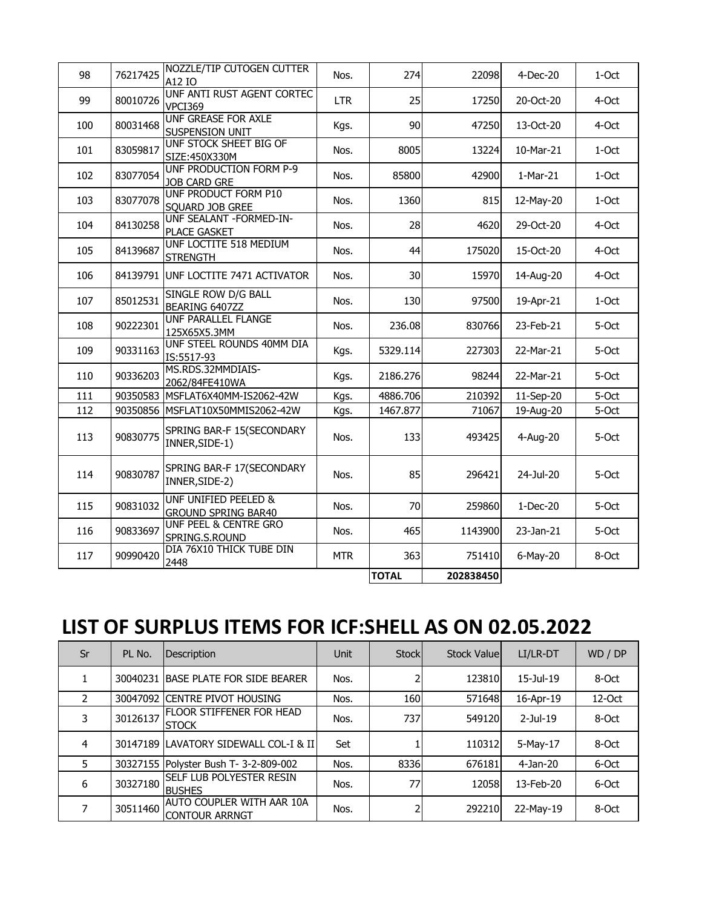| 98  | 76217425 | NOZZLE/TIP CUTOGEN CUTTER<br>A12 IO                           | Nos.       | 274          | 22098     | 4-Dec-20   | 1-Oct   |
|-----|----------|---------------------------------------------------------------|------------|--------------|-----------|------------|---------|
| 99  | 80010726 | UNF ANTI RUST AGENT CORTEC<br>VPCI369                         | <b>LTR</b> | 25           | 17250     | 20-Oct-20  | 4-Oct   |
| 100 | 80031468 | <b>UNF GREASE FOR AXLE</b><br>SUSPENSION UNIT                 | Kgs.       | 90           | 47250     | 13-Oct-20  | 4-Oct   |
| 101 | 83059817 | UNF STOCK SHEET BIG OF<br>SIZE:450X330M                       | Nos.       | 8005         | 13224     | 10-Mar-21  | 1-Oct   |
| 102 | 83077054 | UNF PRODUCTION FORM P-9<br><b>JOB CARD GRE</b>                | Nos.       | 85800        | 42900     | $1-Mar-21$ | $1-Oct$ |
| 103 | 83077078 | UNF PRODUCT FORM P10<br>SOUARD JOB GREE                       | Nos.       | 1360         | 815       | 12-May-20  | $1-Oct$ |
| 104 | 84130258 | UNF SEALANT - FORMED-IN-<br><b>PLACE GASKET</b>               | Nos.       | 28           | 4620      | 29-Oct-20  | 4-Oct   |
| 105 | 84139687 | UNF LOCTITE 518 MEDIUM<br><b>STRENGTH</b>                     | Nos.       | 44           | 175020    | 15-Oct-20  | 4-Oct   |
| 106 |          | 84139791 UNF LOCTITE 7471 ACTIVATOR                           | Nos.       | 30           | 15970     | 14-Aug-20  | 4-Oct   |
| 107 | 85012531 | SINGLE ROW D/G BALL<br>BEARING 6407ZZ                         | Nos.       | 130          | 97500     | 19-Apr-21  | 1-Oct   |
| 108 | 90222301 | UNF PARALLEL FLANGE<br>125X65X5.3MM                           | Nos.       | 236.08       | 830766    | 23-Feb-21  | 5-Oct   |
| 109 | 90331163 | UNF STEEL ROUNDS 40MM DIA<br>IS:5517-93                       | Kgs.       | 5329.114     | 227303    | 22-Mar-21  | 5-Oct   |
| 110 | 90336203 | MS.RDS.32MMDIAIS-<br>2062/84FE410WA                           | Kgs.       | 2186.276     | 98244     | 22-Mar-21  | 5-Oct   |
| 111 | 90350583 | MSFLAT6X40MM-IS2062-42W                                       | Kgs.       | 4886.706     | 210392    | 11-Sep-20  | 5-Oct   |
| 112 |          | 90350856 MSFLAT10X50MMIS2062-42W                              | Kgs.       | 1467.877     | 71067     | 19-Aug-20  | 5-Oct   |
| 113 | 90830775 | SPRING BAR-F 15(SECONDARY<br>INNER, SIDE-1)                   | Nos.       | 133          | 493425    | 4-Aug-20   | 5-Oct   |
| 114 | 90830787 | SPRING BAR-F 17(SECONDARY<br>INNER, SIDE-2)                   | Nos.       | 85           | 296421    | 24-Jul-20  | 5-Oct   |
| 115 | 90831032 | <b>UNF UNIFIED PEELED &amp;</b><br><b>GROUND SPRING BAR40</b> | Nos.       | 70           | 259860    | $1-Dec-20$ | 5-Oct   |
| 116 | 90833697 | UNF PEEL & CENTRE GRO<br>SPRING.S.ROUND                       | Nos.       | 465          | 1143900   | 23-Jan-21  | 5-Oct   |
| 117 | 90990420 | DIA 76X10 THICK TUBE DIN<br>2448                              | <b>MTR</b> | 363          | 751410    | 6-May-20   | 8-Oct   |
|     |          |                                                               |            | <b>TOTAL</b> | 202838450 |            |         |

## **LIST OF SURPLUS ITEMS FOR ICF:SHELL AS ON 02.05.2022**

| Sr            | PL No.   | <b>Description</b>                                  | Unit | Stockl | <b>Stock Valuel</b> | LI/LR-DT    | WD / DP   |
|---------------|----------|-----------------------------------------------------|------|--------|---------------------|-------------|-----------|
|               |          | 30040231 BASE PLATE FOR SIDE BEARER                 | Nos. |        | 123810              | 15-Jul-19   | 8-Oct     |
| $\mathcal{P}$ |          | 30047092 CENTRE PIVOT HOUSING                       | Nos. | 160    | 571648              | 16-Apr-19   | $12$ -Oct |
| 3             | 30126137 | <b>IFLOOR STIFFENER FOR HEAD</b><br><b>STOCK</b>    | Nos. | 737    | 549120              | $2$ -Jul-19 | 8-Oct     |
| 4             |          | 30147189 LAVATORY SIDEWALL COL-I & II               | Set  |        | 110312              | 5-May-17    | 8-Oct     |
| 5             |          | 30327155 Polyster Bush T- 3-2-809-002               | Nos. | 8336   | 676181              | 4-Jan-20    | 6-Oct     |
| 6             | 30327180 | <b>SELF LUB POLYESTER RESIN</b><br><b>BUSHES</b>    | Nos. | 77     | 12058               | 13-Feb-20   | 6-Oct     |
| 7             | 30511460 | AUTO COUPLER WITH AAR 10A<br><b>ICONTOUR ARRNGT</b> | Nos. |        | 292210              | 22-May-19   | 8-Oct     |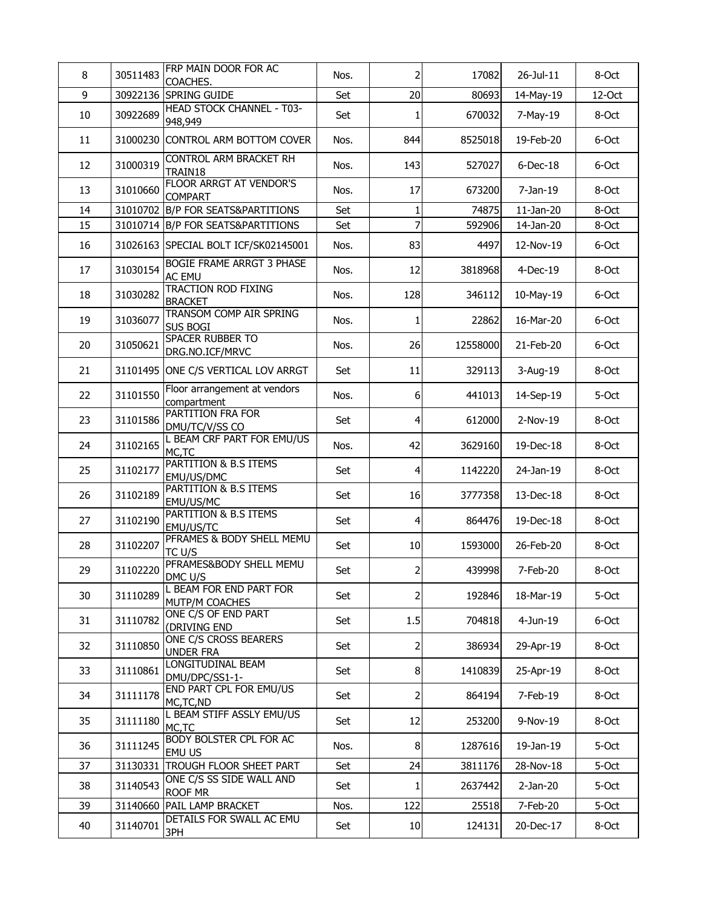| 8  | 30511483 | FRP MAIN DOOR FOR AC<br>COACHES.                 | Nos. | $\overline{2}$ | 17082    | 26-Jul-11    | 8-Oct  |
|----|----------|--------------------------------------------------|------|----------------|----------|--------------|--------|
| 9  | 30922136 | SPRING GUIDE                                     | Set  | 20             | 80693    | 14-May-19    | 12-Oct |
| 10 | 30922689 | <b>HEAD STOCK CHANNEL - T03-</b><br>948,949      | Set  | 1              | 670032   | 7-May-19     | 8-Oct  |
| 11 | 31000230 | CONTROL ARM BOTTOM COVER                         | Nos. | 844            | 8525018  | 19-Feb-20    | 6-Oct  |
| 12 | 31000319 | CONTROL ARM BRACKET RH<br>TRAIN18                | Nos. | 143            | 527027   | $6$ -Dec-18  | 6-Oct  |
| 13 | 31010660 | <b>FLOOR ARRGT AT VENDOR'S</b><br><b>COMPART</b> | Nos. | 17             | 673200   | 7-Jan-19     | 8-Oct  |
| 14 | 31010702 | <b>B/P FOR SEATS&amp;PARTITIONS</b>              | Set  | $\mathbf{1}$   | 74875    | $11$ -Jan-20 | 8-Oct  |
| 15 |          | 31010714 B/P FOR SEATS&PARTITIONS                | Set  | $\overline{7}$ | 592906   | 14-Jan-20    | 8-Oct  |
| 16 |          | 31026163 SPECIAL BOLT ICF/SK02145001             | Nos. | 83             | 4497     | 12-Nov-19    | 6-Oct  |
| 17 | 31030154 | BOGIE FRAME ARRGT 3 PHASE<br><b>AC EMU</b>       | Nos. | 12             | 3818968  | 4-Dec-19     | 8-Oct  |
| 18 | 31030282 | <b>TRACTION ROD FIXING</b><br><b>BRACKET</b>     | Nos. | 128            | 346112   | 10-May-19    | 6-Oct  |
| 19 | 31036077 | TRANSOM COMP AIR SPRING<br><b>SUS BOGI</b>       | Nos. | 1              | 22862    | 16-Mar-20    | 6-Oct  |
| 20 | 31050621 | SPACER RUBBER TO<br>DRG.NO.ICF/MRVC              | Nos. | 26             | 12558000 | 21-Feb-20    | 6-Oct  |
| 21 |          | 31101495 ONE C/S VERTICAL LOV ARRGT              | Set  | 11             | 329113   | 3-Aug-19     | 8-Oct  |
| 22 | 31101550 | Floor arrangement at vendors<br>compartment      | Nos. | 6              | 441013   | 14-Sep-19    | 5-Oct  |
| 23 | 31101586 | PARTITION FRA FOR<br>DMU/TC/V/SS CO              | Set  | $\overline{4}$ | 612000   | 2-Nov-19     | 8-Oct  |
| 24 | 31102165 | L BEAM CRF PART FOR EMU/US<br>MC,TC              | Nos. | 42             | 3629160  | 19-Dec-18    | 8-Oct  |
| 25 | 31102177 | PARTITION & B.S ITEMS<br>EMU/US/DMC              | Set  | 4              | 1142220  | 24-Jan-19    | 8-Oct  |
| 26 | 31102189 | PARTITION & B.S ITEMS<br>EMU/US/MC               | Set  | 16             | 3777358  | 13-Dec-18    | 8-Oct  |
| 27 | 31102190 | PARTITION & B.S ITEMS<br>EMU/US/TC               | Set  | $\overline{4}$ | 864476   | 19-Dec-18    | 8-Oct  |
| 28 | 31102207 | PFRAMES & BODY SHELL MEMU<br>TC U/S              | Set  | 10             | 1593000  | 26-Feb-20    | 8-Oct  |
| 29 | 31102220 | PFRAMES&BODY SHELL MEMU<br>DMC U/S               | Set  | $\overline{2}$ | 439998   | 7-Feb-20     | 8-Oct  |
| 30 | 31110289 | L BEAM FOR END PART FOR<br>MUTP/M COACHES        | Set  | $\overline{2}$ | 192846   | 18-Mar-19    | 5-Oct  |
| 31 | 31110782 | ONE C/S OF END PART<br>(DRIVING END              | Set  | 1.5            | 704818   | $4$ -Jun-19  | 6-Oct  |
| 32 | 31110850 | ONE C/S CROSS BEARERS<br><b>UNDER FRA</b>        | Set  | $\overline{2}$ | 386934   | 29-Apr-19    | 8-Oct  |
| 33 | 31110861 | LONGITUDINAL BEAM<br>DMU/DPC/SS1-1-              | Set  | 8              | 1410839  | 25-Apr-19    | 8-Oct  |
| 34 | 31111178 | END PART CPL FOR EMU/US<br>MC, TC, ND            | Set  | $\overline{2}$ | 864194   | 7-Feb-19     | 8-Oct  |
| 35 | 31111180 | L BEAM STIFF ASSLY EMU/US<br>MC, TC              | Set  | 12             | 253200   | 9-Nov-19     | 8-Oct  |
| 36 | 31111245 | BODY BOLSTER CPL FOR AC<br><b>EMU US</b>         | Nos. | 8 <sup>1</sup> | 1287616  | 19-Jan-19    | 5-Oct  |
| 37 | 31130331 | <b>TROUGH FLOOR SHEET PART</b>                   | Set  | 24             | 3811176  | 28-Nov-18    | 5-Oct  |
| 38 | 31140543 | ONE C/S SS SIDE WALL AND<br>ROOF MR              | Set  | 1              | 2637442  | $2-Jan-20$   | 5-Oct  |
| 39 | 31140660 | PAIL LAMP BRACKET                                | Nos. | 122            | 25518    | 7-Feb-20     | 5-Oct  |
| 40 | 31140701 | DETAILS FOR SWALL AC EMU<br>3PH                  | Set  | 10             | 124131   | 20-Dec-17    | 8-Oct  |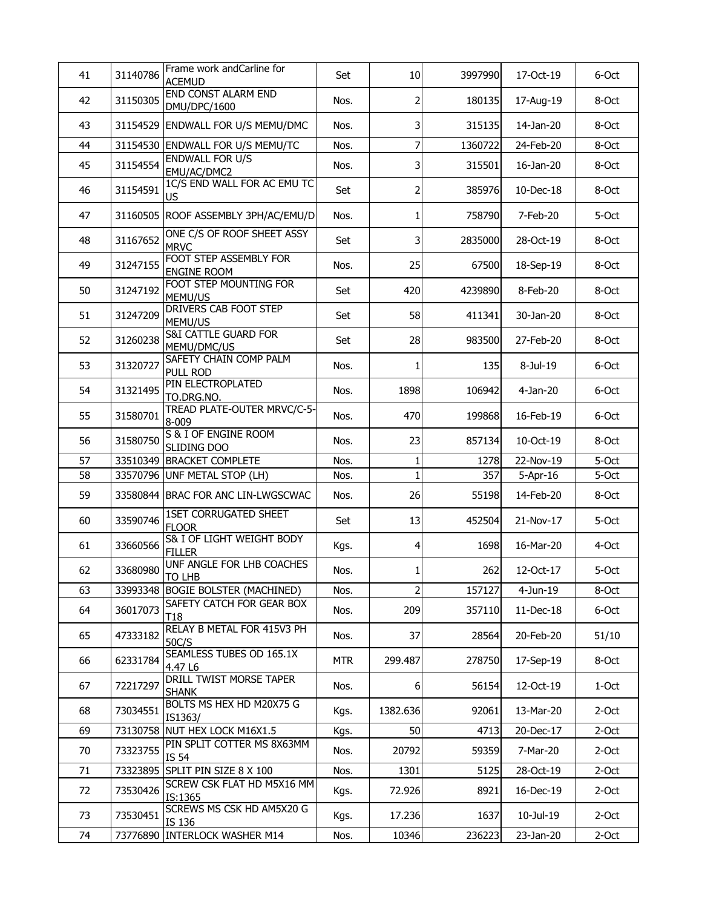| 41 | 31140786 | Frame work andCarline for<br><b>ACEMUD</b>     | Set        | 10                      | 3997990 | 17-Oct-19  | 6-Oct    |
|----|----------|------------------------------------------------|------------|-------------------------|---------|------------|----------|
| 42 | 31150305 | END CONST ALARM END<br>DMU/DPC/1600            | Nos.       | $\overline{a}$          | 180135  | 17-Aug-19  | 8-Oct    |
| 43 | 31154529 | ENDWALL FOR U/S MEMU/DMC                       | Nos.       | $\overline{3}$          | 315135  | 14-Jan-20  | 8-Oct    |
| 44 | 31154530 | <b>ENDWALL FOR U/S MEMU/TC</b>                 | Nos.       | $\overline{z}$          | 1360722 | 24-Feb-20  | 8-Oct    |
| 45 | 31154554 | <b>ENDWALL FOR U/S</b><br>EMU/AC/DMC2          | Nos.       | $\overline{\mathbf{3}}$ | 315501  | 16-Jan-20  | 8-Oct    |
| 46 | 31154591 | 1C/S END WALL FOR AC EMU TC<br><b>US</b>       | Set        | $\overline{a}$          | 385976  | 10-Dec-18  | 8-Oct    |
| 47 |          | 31160505 ROOF ASSEMBLY 3PH/AC/EMU/D            | Nos.       | $\mathbf{1}$            | 758790  | 7-Feb-20   | 5-Oct    |
| 48 | 31167652 | ONE C/S OF ROOF SHEET ASSY<br><b>MRVC</b>      | Set        | $\overline{\mathbf{3}}$ | 2835000 | 28-Oct-19  | 8-Oct    |
| 49 | 31247155 | FOOT STEP ASSEMBLY FOR<br><b>ENGINE ROOM</b>   | Nos.       | 25                      | 67500   | 18-Sep-19  | 8-Oct    |
| 50 | 31247192 | FOOT STEP MOUNTING FOR<br>MEMU/US              | Set        | 420                     | 4239890 | 8-Feb-20   | 8-Oct    |
| 51 | 31247209 | <b>DRIVERS CAB FOOT STEP</b><br>MEMU/US        | Set        | 58                      | 411341  | 30-Jan-20  | 8-Oct    |
| 52 | 31260238 | <b>S&amp;I CATTLE GUARD FOR</b><br>MEMU/DMC/US | Set        | 28                      | 983500  | 27-Feb-20  | 8-Oct    |
| 53 | 31320727 | SAFETY CHAIN COMP PALM<br><b>PULL ROD</b>      | Nos.       | 1                       | 135     | 8-Jul-19   | 6-Oct    |
| 54 | 31321495 | PIN ELECTROPLATED<br>TO.DRG.NO.                | Nos.       | 1898                    | 106942  | 4-Jan-20   | 6-Oct    |
| 55 | 31580701 | TREAD PLATE-OUTER MRVC/C-5-<br>8-009           | Nos.       | 470                     | 199868  | 16-Feb-19  | 6-Oct    |
| 56 | 31580750 | S & I OF ENGINE ROOM<br>SLIDING DOO            | Nos.       | 23                      | 857134  | 10-Oct-19  | 8-Oct    |
| 57 | 33510349 | <b>BRACKET COMPLETE</b>                        | Nos.       | $1\vert$                | 1278    | 22-Nov-19  | 5-Oct    |
| 58 |          | 33570796 UNF METAL STOP (LH)                   | Nos.       | $\mathbf{1}$            | 357     | $5-Apr-16$ | 5-Oct    |
| 59 |          | 33580844 BRAC FOR ANC LIN-LWGSCWAC             | Nos.       | 26                      | 55198   | 14-Feb-20  | 8-Oct    |
| 60 | 33590746 | <b>1SET CORRUGATED SHEET</b><br><b>FLOOR</b>   | Set        | 13                      | 452504  | 21-Nov-17  | 5-Oct    |
| 61 | 33660566 | S& I OF LIGHT WEIGHT BODY<br><b>FILLER</b>     | Kgs.       | $\overline{4}$          | 1698    | 16-Mar-20  | 4-Oct    |
| 62 | 33680980 | UNF ANGLE FOR LHB COACHES<br><b>TO LHB</b>     | Nos.       | $1\vert$                | 262     | 12-Oct-17  | 5-Oct    |
| 63 |          | 33993348 BOGIE BOLSTER (MACHINED)              | Nos.       | $\overline{2}$          | 157127  | 4-Jun-19   | 8-Oct    |
| 64 | 36017073 | SAFETY CATCH FOR GEAR BOX<br>T <sub>18</sub>   | Nos.       | 209                     | 357110  | 11-Dec-18  | 6-Oct    |
| 65 | 47333182 | RELAY B METAL FOR 415V3 PH<br>50C/S            | Nos.       | 37                      | 28564   | 20-Feb-20  | 51/10    |
| 66 | 62331784 | SEAMLESS TUBES OD 165.1X<br>4.47 L6            | <b>MTR</b> | 299.487                 | 278750  | 17-Sep-19  | 8-Oct    |
| 67 | 72217297 | <b>DRILL TWIST MORSE TAPER</b><br><b>SHANK</b> | Nos.       | $6 \mid$                | 56154   | 12-Oct-19  | 1-Oct    |
| 68 | 73034551 | BOLTS MS HEX HD M20X75 G<br>IS1363/            | Kgs.       | 1382.636                | 92061   | 13-Mar-20  | $2$ -Oct |
| 69 |          | 73130758 NUT HEX LOCK M16X1.5                  | Kgs.       | 50                      | 4713    | 20-Dec-17  | 2-Oct    |
| 70 | 73323755 | PIN SPLIT COTTER MS 8X63MM<br>IS 54            | Nos.       | 20792                   | 59359   | 7-Mar-20   | $2$ -Oct |
| 71 |          | 73323895 SPLIT PIN SIZE 8 X 100                | Nos.       | 1301                    | 5125    | 28-Oct-19  | $2-Oct$  |
| 72 | 73530426 | SCREW CSK FLAT HD M5X16 MM<br>IS:1365          | Kgs.       | 72.926                  | 8921    | 16-Dec-19  | $2$ -Oct |
| 73 | 73530451 | <b>SCREWS MS CSK HD AM5X20 G</b><br>IS 136     | Kgs.       | 17.236                  | 1637    | 10-Jul-19  | $2$ -Oct |
| 74 | 73776890 | <b>INTERLOCK WASHER M14</b>                    | Nos.       | 10346                   | 236223  | 23-Jan-20  | $2$ -Oct |